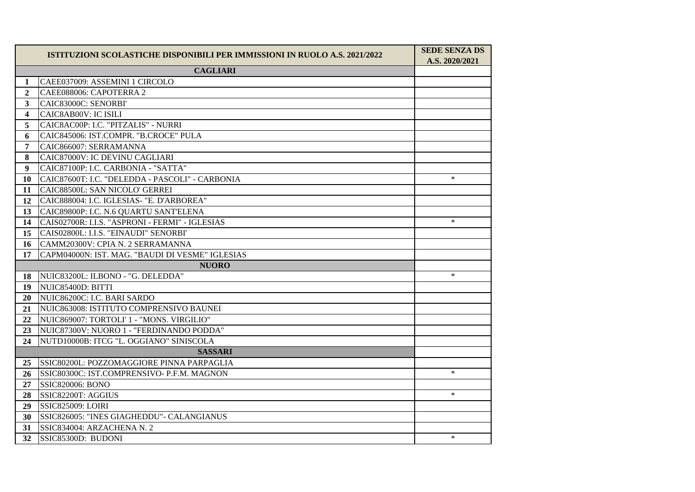|                         | ISTITUZIONI SCOLASTICHE DISPONIBILI PER IMMISSIONI IN RUOLO A.S. 2021/2022 | <b>SEDE SENZA DS</b><br>A.S. 2020/2021 |
|-------------------------|----------------------------------------------------------------------------|----------------------------------------|
|                         | <b>CAGLIARI</b>                                                            |                                        |
| 1                       | CAEE037009: ASSEMINI 1 CIRCOLO                                             |                                        |
| $\mathbf{2}$            | CAEE088006: CAPOTERRA 2                                                    |                                        |
| 3                       | CAIC83000C: SENORBI'                                                       |                                        |
| $\overline{\mathbf{4}}$ | CAIC8AB00V: IC ISILI                                                       |                                        |
| 5                       | CAIC8AC00P: I.C. "PITZALIS" - NURRI                                        |                                        |
| 6                       | CAIC845006: IST.COMPR. "B.CROCE" PULA                                      |                                        |
| 7                       | CAIC866007: SERRAMANNA                                                     |                                        |
| 8                       | CAIC87000V: IC DEVINU CAGLIARI                                             |                                        |
| 9                       | CAIC87100P: I.C. CARBONIA - "SATTA"                                        |                                        |
| 10                      | CAIC87600T: I.C. "DELEDDA - PASCOLI" - CARBONIA                            | $\ast$                                 |
| 11                      | CAIC88500L: SAN NICOLO' GERREI                                             |                                        |
| 12                      | CAIC888004: I.C. IGLESIAS- "E. D'ARBOREA"                                  |                                        |
| 13                      | CAIC89800P: I.C. N.6 QUARTU SANT'ELENA                                     |                                        |
| 14                      | CAIS02700R: I.I.S. "ASPRONI - FERMI" - IGLESIAS                            | $\ast$                                 |
| 15                      | CAIS02800L: I.I.S. "EINAUDI" SENORBI'                                      |                                        |
| 16                      | CAMM20300V: CPIA N. 2 SERRAMANNA                                           |                                        |
| 17                      | CAPM04000N: IST. MAG. "BAUDI DI VESME" IGLESIAS                            |                                        |
| <b>NUORO</b>            |                                                                            |                                        |
| 18                      | NUIC83200L: ILBONO - "G. DELEDDA"                                          | $\ast$                                 |
| 19                      | NUIC85400D: BITTI                                                          |                                        |
| 20                      | NUIC86200C: I.C. BARI SARDO                                                |                                        |
| 21                      | NUIC863008: ISTITUTO COMPRENSIVO BAUNEI                                    |                                        |
| 22                      | NUIC869007: TORTOLI' 1 - "MONS. VIRGILIO"                                  |                                        |
| 23                      | NUIC87300V: NUORO 1 - "FERDINANDO PODDA"                                   |                                        |
| 24                      | NUTD10000B: ITCG "L. OGGIANO" SINISCOLA                                    |                                        |
| <b>SASSARI</b>          |                                                                            |                                        |
| 25                      | SSIC80200L: POZZOMAGGIORE PINNA PARPAGLIA                                  |                                        |
| 26                      | SSIC80300C: IST.COMPRENSIVO- P.F.M. MAGNON                                 | $\ast$                                 |
| 27                      | <b>SSIC820006: BONO</b>                                                    |                                        |
| 28                      | SSIC82200T: AGGIUS                                                         | $\ast$                                 |
| 29                      | <b>SSIC825009: LOIRI</b>                                                   |                                        |
| 30                      | SSIC826005: "INES GIAGHEDDU" - CALANGIANUS                                 |                                        |
| 31                      | SSIC834004: ARZACHENA N. 2                                                 |                                        |
| 32                      | SSIC85300D: BUDONI                                                         | $\ast$                                 |